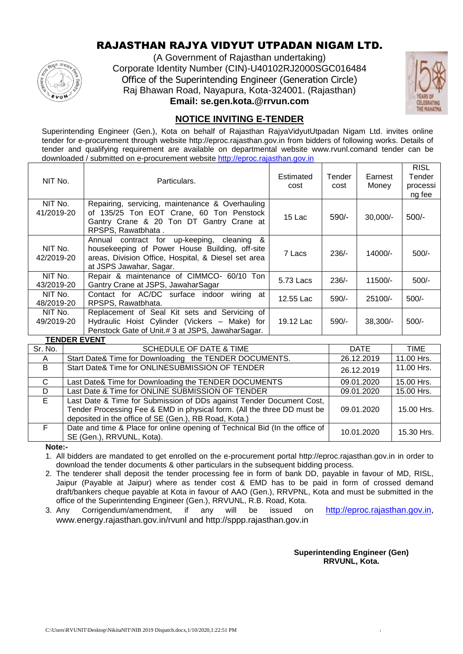### RAJASTHAN RAJYA VIDYUT UTPADAN NIGAM LTD.



(A Government of Rajasthan undertaking) Corporate Identity Number (CIN)-U40102RJ2000SGC016484 Office of the Superintending Engineer (Generation Circle) Raj Bhawan Road, Nayapura, Kota-324001. (Rajasthan) **Email: se.gen.kota.@rrvun.com**



#### **NOTICE INVITING E-TENDER**

Superintending Engineer (Gen.), Kota on behalf of Rajasthan RajyaVidyutUtpadan Nigam Ltd. invites online tender for e-procurement through website http://eproc.rajasthan.gov.in from bidders of following works. Details of tender and qualifying requirement are available on departmental website www.rvunl.comand tender can be downloaded / submitted on e-procurement website [http://eproc.rajasthan.gov.in](http://eproc.rajasthan.gov.in/)

| NIT No.                               | Particulars.                                                                                                                                                                                                  | Estimated<br>cost | Tender<br>cost | Earnest<br>Money | <b>RISL</b><br>Tender<br>processi<br>ng fee |
|---------------------------------------|---------------------------------------------------------------------------------------------------------------------------------------------------------------------------------------------------------------|-------------------|----------------|------------------|---------------------------------------------|
| NIT No.<br>41/2019-20                 | Repairing, servicing, maintenance & Overhauling<br>of 135/25 Ton EOT Crane, 60 Ton Penstock<br>Gantry Crane & 20 Ton DT Gantry Crane at<br>RPSPS. Rawatbhata.                                                 | 15 Lac            | 590/-          | $30,000/-$       | $500/-$                                     |
| NIT No.<br>42/2019-20                 | $\boldsymbol{\mathcal{S}}$<br>Annual contract for up-keeping,<br>cleaning<br>housekeeping of Power House Building, off-site<br>areas, Division Office, Hospital, & Diesel set area<br>at JSPS Jawahar, Sagar. | 7 Lacs            | $236/-$        | 14000/-          | $500/-$                                     |
| NIT No.<br>43/2019-20                 | Repair & maintenance of CIMMCO- 60/10 Ton<br>Gantry Crane at JSPS, JawaharSagar                                                                                                                               | 5.73 Lacs         | $236/-$        | 11500/-          | $500/-$                                     |
| NIT No.<br>48/2019-20                 | wiring at<br>Contact for AC/DC surface indoor<br>RPSPS, Rawatbhata.                                                                                                                                           | 12.55 Lac         | $590/-$        | $25100/-$        | $500/-$                                     |
| NIT No.<br>49/2019-20<br>TENNED EVENT | Replacement of Seal Kit sets and Servicing of<br>Hydraulic Hoist Cylinder (Vickers - Make) for<br>Penstock Gate of Unit.# 3 at JSPS, JawaharSagar.                                                            | 19.12 Lac         | $590/-$        | $38.300/-$       | $500/-$                                     |

|         | ILIVULIN LVLIVI                                                                                                                                                                                          |            |             |
|---------|----------------------------------------------------------------------------------------------------------------------------------------------------------------------------------------------------------|------------|-------------|
| Sr. No. | <b>SCHEDULE OF DATE &amp; TIME</b>                                                                                                                                                                       | DATE       | <b>TIME</b> |
| A       | Start Date& Time for Downloading the TENDER DOCUMENTS.                                                                                                                                                   | 26.12.2019 | 11.00 Hrs.  |
| B       | Start Date& Time for ONLINESUBMISSION OF TENDER                                                                                                                                                          | 26.12.2019 | 11.00 Hrs.  |
| C.      | Last Date& Time for Downloading the TENDER DOCUMENTS                                                                                                                                                     | 09.01.2020 | 15.00 Hrs.  |
| D       | Last Date & Time for ONLINE SUBMISSION OF TENDER                                                                                                                                                         | 09.01.2020 | 15.00 Hrs.  |
| E       | Last Date & Time for Submission of DDs against Tender Document Cost,<br>Tender Processing Fee & EMD in physical form. (All the three DD must be<br>deposited in the office of SE (Gen.), RB Road, Kota.) | 09.01.2020 | 15.00 Hrs.  |
| F.      | Date and time & Place for online opening of Technical Bid (In the office of<br>SE (Gen.), RRVUNL, Kota).                                                                                                 | 10.01.2020 | 15.30 Hrs.  |

**Note:-**

1. All bidders are mandated to get enrolled on the e-procurement portal http://eproc.rajasthan.gov.in in order to download the tender documents & other particulars in the subsequent bidding process.

2. The tenderer shall deposit the tender processing fee in form of bank DD, payable in favour of MD, RISL, Jaipur (Payable at Jaipur) where as tender cost & EMD has to be paid in form of crossed demand draft/bankers cheque payable at Kota in favour of AAO (Gen.), RRVPNL, Kota and must be submitted in the office of the Superintending Engineer (Gen.), RRVUNL, R.B. Road, Kota.

3. Any Corrigendum/amendment, if any will be issued on [http://eproc.rajasthan.gov.in,](http://eproc.rajasthan.gov.in/) www.energy.rajasthan.gov.in/rvunl and http://sppp.rajasthan.gov.in

> **Superintending Engineer (Gen) RRVUNL, Kota.**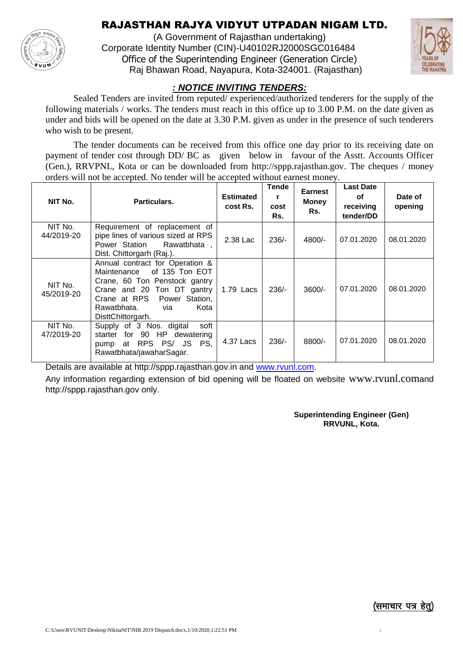### RAJASTHAN RAJYA VIDYUT UTPADAN NIGAM LTD.

(A Government of Rajasthan undertaking) Corporate Identity Number (CIN)-U40102RJ2000SGC016484 Office of the Superintending Engineer (Generation Circle) Raj Bhawan Road, Nayapura, Kota-324001. (Rajasthan)



#### *: NOTICE INVITING TENDERS:*

Sealed Tenders are invited from reputed/ experienced/authorized tenderers for the supply of the following materials / works. The tenders must reach in this office up to 3.00 P.M. on the date given as under and bids will be opened on the date at 3.30 P.M. given as under in the presence of such tenderers who wish to be present.

The tender documents can be received from this office one day prior to its receiving date on payment of tender cost through DD/ BC as given below in favour of the Asstt. Accounts Officer (Gen.), RRVPNL, Kota or can be downloaded from http://sppp.rajasthan.gov. The cheques / money orders will not be accepted. No tender will be accepted without earnest money.

| NIT No.               | Particulars.                                                                                                                                                                                                         | <b>Estimated</b><br>cost Rs. | <b>Tende</b><br>r<br>cost<br>Rs. | <b>Earnest</b><br><b>Money</b><br>Rs. | <b>Last Date</b><br>οf<br>receiving<br>tender/DD | Date of<br>opening |
|-----------------------|----------------------------------------------------------------------------------------------------------------------------------------------------------------------------------------------------------------------|------------------------------|----------------------------------|---------------------------------------|--------------------------------------------------|--------------------|
| NIT No.<br>44/2019-20 | Requirement of replacement of<br>pipe lines of various sized at RPS<br>Power Station<br>Rawatbhata.<br>Dist. Chittorgarh (Raj.).                                                                                     | 2.38 Lac                     | $236/-$                          | $4800/-$                              | 07.01.2020                                       | 08.01.2020         |
| NIT No.<br>45/2019-20 | Annual contract for Operation &<br>of 135 Ton EOT<br>Maintenance<br>Crane, 60 Ton Penstock gantry<br>Crane and 20 Ton DT gantry<br>Crane at RPS<br>Power Station,<br>Kota<br>Rawatbhata.<br>via<br>DisttChittorgarh. | 1.79 Lacs                    | $236/-$                          | $3600/-$                              | 07.01.2020                                       | 08.01.2020         |
| NIT No.<br>47/2019-20 | Supply of 3 Nos. digital<br>soft<br>for 90 HP dewatering<br>starter<br>RPS PS/ JS<br>PS,<br>at<br>pump<br>Rawatbhata/jawaharSagar.                                                                                   | 4.37 Lacs                    | $236/-$                          | 8800/-                                | 07.01.2020                                       | 08.01.2020         |

Details are available at http://sppp.rajasthan.gov.in and [www.rvunl.com.](http://www.rvunl.com/)

Any information regarding extension of bid opening will be floated on website www.rvunl.comand http://sppp.rajasthan.gov only.

> **Superintending Engineer (Gen) RRVUNL, Kota.**